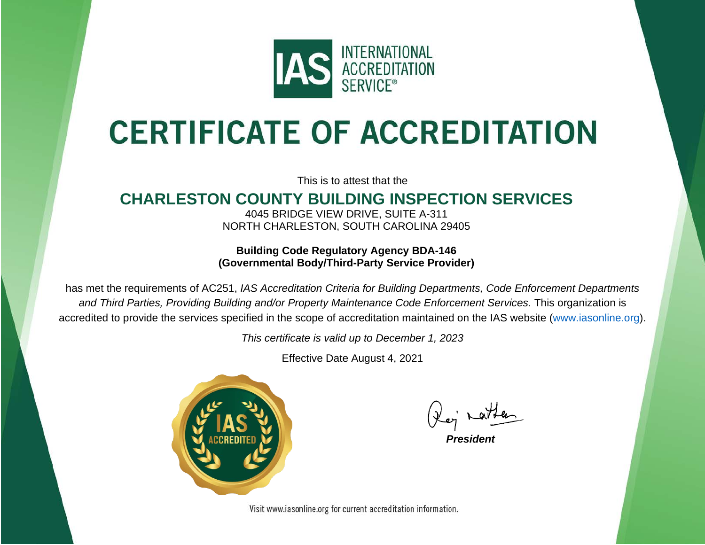

## **CERTIFICATE OF ACCREDITATION**

This is to attest that the

## **CHARLESTON COUNTY BUILDING INSPECTION SERVICES**

4045 BRIDGE VIEW DRIVE, SUITE A-311 NORTH CHARLESTON, SOUTH CAROLINA 29405

**Building Code Regulatory Agency BDA-146 (Governmental Body/Third-Party Service Provider)**

has met the requirements of AC251, *IAS Accreditation Criteria for Building Departments, Code Enforcement Departments and Third Parties, Providing Building and/or Property Maintenance Code Enforcement Services.* This organization is accredited to provide the services specified in the scope of accreditation maintained on the IAS website [\(www.iasonline.org\)](http://www.iasonline.org/).

*This certificate is valid up to December 1, 2023*

Effective Date August 4, 2021



*President*

Visit www.iasonline.org for current accreditation information.